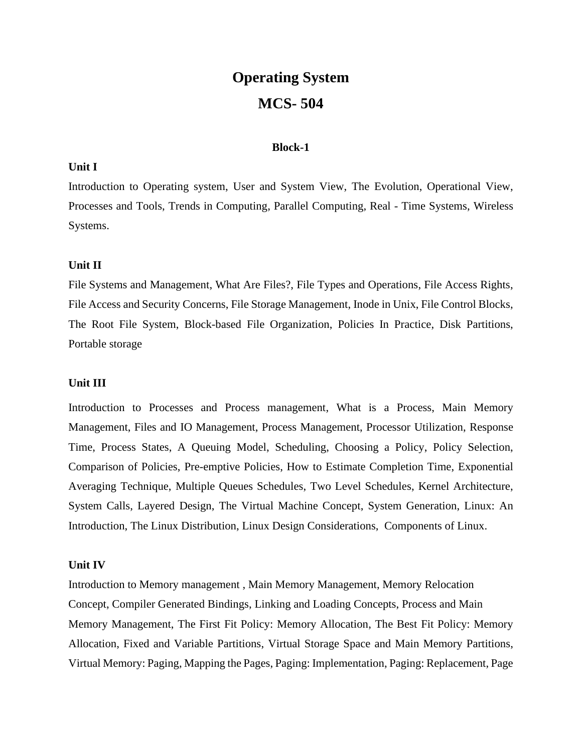# **Operating System MCS- 504**

## **Block-1**

## **Unit I**

Introduction to Operating system, User and System View, The Evolution, Operational View, Processes and Tools, Trends in Computing, Parallel Computing, Real - Time Systems, Wireless Systems.

## **Unit II**

File Systems and Management, What Are Files?, File Types and Operations, File Access Rights, File Access and Security Concerns, File Storage Management, Inode in Unix, File Control Blocks, The Root File System, Block-based File Organization, Policies In Practice, Disk Partitions, Portable storage

## **Unit III**

Introduction to Processes and Process management, What is a Process, Main Memory Management, Files and IO Management, Process Management, Processor Utilization, Response Time, Process States, A Queuing Model, Scheduling, Choosing a Policy, Policy Selection, Comparison of Policies, Pre-emptive Policies, How to Estimate Completion Time, Exponential Averaging Technique, Multiple Queues Schedules, Two Level Schedules, Kernel Architecture, System Calls, Layered Design, The Virtual Machine Concept, System Generation, Linux: An Introduction, The Linux Distribution, Linux Design Considerations, Components of Linux.

#### **Unit IV**

Introduction to Memory management , Main Memory Management, Memory Relocation Concept, Compiler Generated Bindings, Linking and Loading Concepts, Process and Main Memory Management, The First Fit Policy: Memory Allocation, The Best Fit Policy: Memory Allocation, Fixed and Variable Partitions, Virtual Storage Space and Main Memory Partitions, Virtual Memory: Paging, Mapping the Pages, Paging: Implementation, Paging: Replacement, Page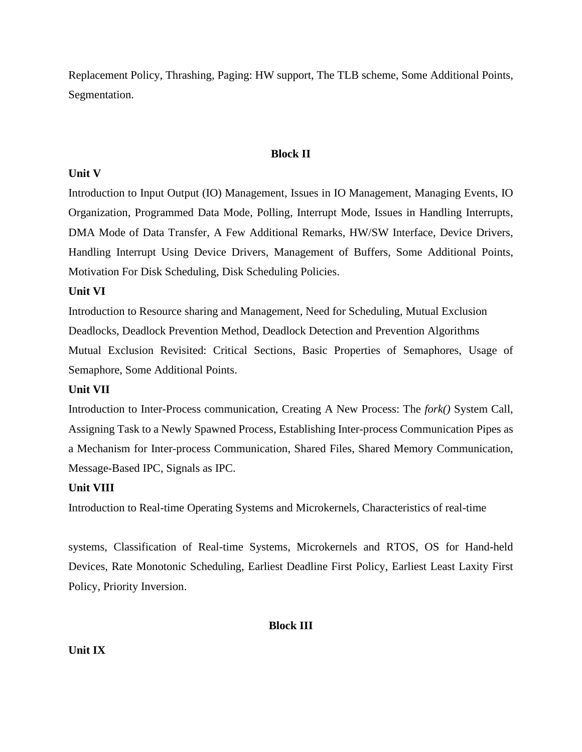Replacement Policy, Thrashing, Paging: HW support, The TLB scheme, Some Additional Points, Segmentation.

## **Block II**

## **Unit V**

Introduction to Input Output (IO) Management, Issues in IO Management, Managing Events, IO Organization, Programmed Data Mode, Polling, Interrupt Mode, Issues in Handling Interrupts, DMA Mode of Data Transfer, A Few Additional Remarks, HW/SW Interface, Device Drivers, Handling Interrupt Using Device Drivers, Management of Buffers, Some Additional Points, Motivation For Disk Scheduling, Disk Scheduling Policies.

## **Unit VI**

Introduction to Resource sharing and Management, Need for Scheduling, Mutual Exclusion Deadlocks, Deadlock Prevention Method, Deadlock Detection and Prevention Algorithms Mutual Exclusion Revisited: Critical Sections, Basic Properties of Semaphores, Usage of Semaphore, Some Additional Points.

# **Unit VII**

Introduction to Inter-Process communication, Creating A New Process: The *fork()* System Call, Assigning Task to a Newly Spawned Process, Establishing Inter-process Communication Pipes as a Mechanism for Inter-process Communication, Shared Files, Shared Memory Communication, Message-Based IPC, Signals as IPC.

## **Unit VIII**

Introduction to Real-time Operating Systems and Microkernels, Characteristics of real-time

systems, Classification of Real-time Systems, Microkernels and RTOS, OS for Hand-held Devices, Rate Monotonic Scheduling, Earliest Deadline First Policy, Earliest Least Laxity First Policy, Priority Inversion.

## **Block III**

## **Unit IX**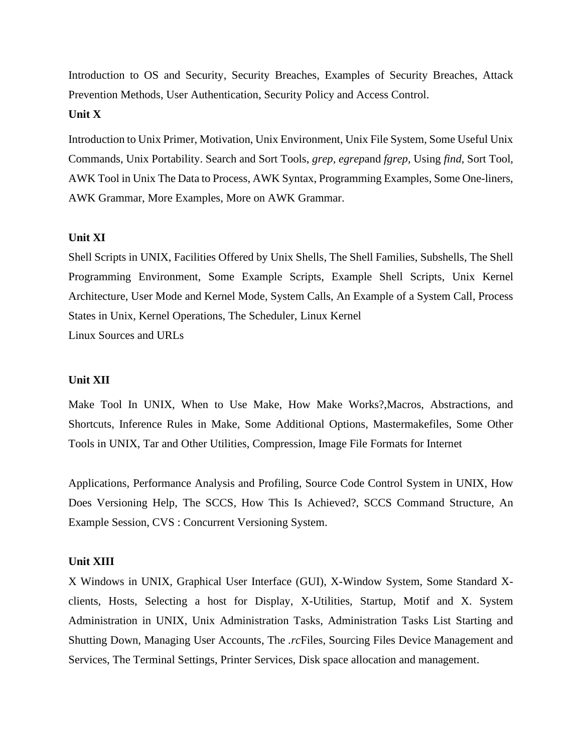Introduction to OS and Security, Security Breaches, Examples of Security Breaches, Attack Prevention Methods, User Authentication, Security Policy and Access Control.

## **Unit X**

Introduction to Unix Primer, Motivation, Unix Environment, Unix File System, Some Useful Unix Commands, Unix Portability. Search and Sort Tools, *grep, egrep*and *fgrep,* Using *find,* Sort Tool, AWK Tool in Unix The Data to Process, AWK Syntax, Programming Examples, Some One-liners, AWK Grammar, More Examples, More on AWK Grammar.

## **Unit XI**

Shell Scripts in UNIX, Facilities Offered by Unix Shells, The Shell Families, Subshells, The Shell Programming Environment, Some Example Scripts, Example Shell Scripts, Unix Kernel Architecture, User Mode and Kernel Mode, System Calls, An Example of a System Call, Process States in Unix, Kernel Operations, The Scheduler, Linux Kernel Linux Sources and URLs

#### **Unit XII**

Make Tool In UNIX, When to Use Make, How Make Works?,Macros, Abstractions, and Shortcuts, Inference Rules in Make, Some Additional Options, Mastermakefiles, Some Other Tools in UNIX, Tar and Other Utilities, Compression, Image File Formats for Internet

Applications, Performance Analysis and Profiling, Source Code Control System in UNIX, How Does Versioning Help, The SCCS, How This Is Achieved?, SCCS Command Structure, An Example Session, CVS : Concurrent Versioning System.

#### **Unit XIII**

X Windows in UNIX, Graphical User Interface (GUI), X-Window System, Some Standard Xclients, Hosts, Selecting a host for Display, X-Utilities, Startup, Motif and X. System Administration in UNIX, Unix Administration Tasks, Administration Tasks List Starting and Shutting Down, Managing User Accounts, The *.rc*Files, Sourcing Files Device Management and Services, The Terminal Settings, Printer Services, Disk space allocation and management.